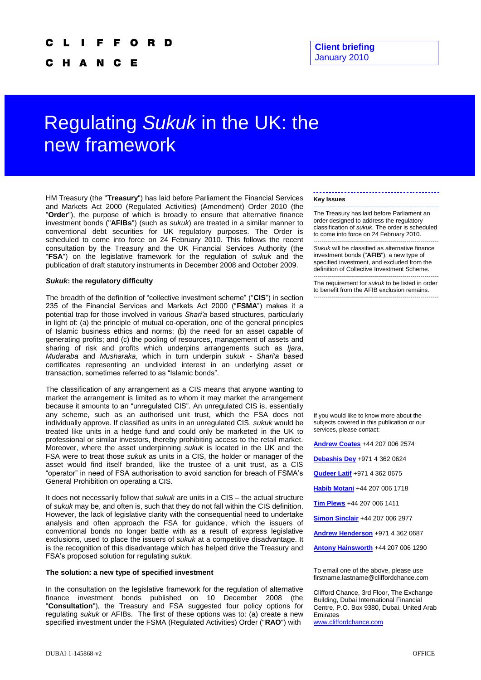с н N Е

# Regulating *Sukuk* in the UK: the new framework

HM Treasury (the "**Treasury**") has laid before Parliament the Financial Services and Markets Act 2000 (Regulated Activities) (Amendment) Order 2010 (the "**Order**"), the purpose of which is broadly to ensure that alternative finance investment bonds ("**AFIBs**") (such as *sukuk*) are treated in a similar manner to conventional debt securities for UK regulatory purposes. The Order is scheduled to come into force on 24 February 2010. This follows the recent consultation by the Treasury and the UK Financial Services Authority (the "**FSA**") on the legislative framework for the regulation of *sukuk* and the publication of draft statutory instruments in December 2008 and October 2009.

## *Sukuk***: the regulatory difficulty**

The breadth of the definition of "collective investment scheme" ("**CIS**") in section 235 of the Financial Services and Markets Act 2000 ("**FSMA**") makes it a potential trap for those involved in various *Shari'a* based structures, particularly in light of: (a) the principle of mutual co-operation, one of the general principles of Islamic business ethics and norms; (b) the need for an asset capable of generating profits; and (c) the pooling of resources, management of assets and sharing of risk and profits which underpins arrangements such as *Ijara*, *Mudaraba* and *Musharaka*, which in turn underpin *sukuk - Shari'a* based certificates representing an undivided interest in an underlying asset or transaction, sometimes referred to as "Islamic bonds".

The classification of any arrangement as a CIS means that anyone wanting to market the arrangement is limited as to whom it may market the arrangement because it amounts to an "unregulated CIS". An unregulated CIS is, essentially any scheme, such as an authorised unit trust, which the FSA does not individually approve. If classified as units in an unregulated CIS, *sukuk* would be treated like units in a hedge fund and could only be marketed in the UK to professional or similar investors, thereby prohibiting access to the retail market. Moreover, where the asset underpinning *sukuk* is located in the UK and the FSA were to treat those *sukuk* as units in a CIS, the holder or manager of the asset would find itself branded, like the trustee of a unit trust, as a CIS "operator" in need of FSA authorisation to avoid sanction for breach of FSMA's General Prohibition on operating a CIS.

It does not necessarily follow that *sukuk* are units in a CIS – the actual structure of *sukuk* may be, and often is, such that they do not fall within the CIS definition. However, the lack of legislative clarity with the consequential need to undertake analysis and often approach the FSA for guidance, which the issuers of conventional bonds no longer battle with as a result of express legislative exclusions, used to place the issuers of *sukuk* at a competitive disadvantage. It is the recognition of this disadvantage which has helped drive the Treasury and FSA's proposed solution for regulating *sukuk*.

### **The solution: a new type of specified investment**

In the consultation on the legislative framework for the regulation of alternative finance investment bonds published on 10 December 2008 (the "**Consultation**"), the Treasury and FSA suggested four policy options for regulating *sukuk* or AFIBs. The first of these options was to: (a) create a new specified investment under the FSMA (Regulated Activities) Order ("**RAO**") with

#### **Key Issues**

-------------------------------------------------------------- The Treasury has laid before Parliament an order designed to address the regulatory classification of *sukuk*. The order is scheduled to come into force on 24 February 2010.

-------------------------------------------------------------- *Sukuk* will be classified as alternative finance investment bonds ("**AFIB**"), a new type of specified investment, and excluded from the definition of Collective Investment Scheme.

-------------------------------------------------------------- The requirement for *sukuk* to be listed in order to benefit from the AFIB exclusion remains. --------------------------------------------------------------

If you would like to know more about the subjects covered in this publication or our services, please contact:

**[Andrew Coates](mailto:Andrew.Coates@cliffordchance.com)** +44 207 006 2574

**[Debashis Dey](mailto:Debashis.Dey@cliffordchance.com)** +971 4 362 0624

**[Qudeer Latif](mailto:Qudeer.Latif@cliffordchance.com)** +971 4 362 0675

**[Habib Motani](mailto:Habib.Motani@cliffordchance.com)** +44 207 006 1718

**[Tim Plews](mailto:Tim.Plews@cliffordchance.com)** +44 207 006 1411

**[Simon Sinclair](mailto:Simon.Sinclair@cliffordchance.com)** +44 207 006 2977

**[Andrew Henderson](mailto:Andrew.Henderson@cliffordchance.com)** +971 4 362 0687

**[Antony Hainsworth](mailto:Antony.Hainsworth@cliffordchance.com)** +44 207 006 1290

To email one of the above, please use firstname.lastname@cliffordchance.com

[www.cliffordchance.com](http://www.cliffordchance.com/)

Clifford Chance, 3rd Floor, The Exchange Building, Dubai International Financial Centre, P.O. Box 9380, Dubai, United Arab Emirates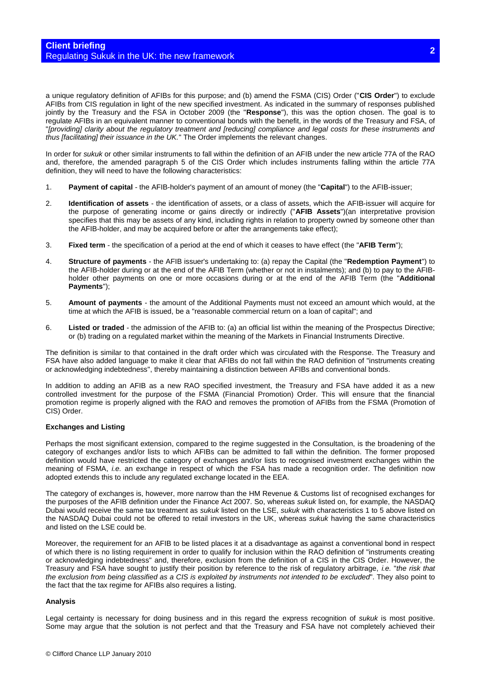a unique regulatory definition of AFIBs for this purpose; and (b) amend the FSMA (CIS) Order ("**CIS Order**") to exclude AFIBs from CIS regulation in light of the new specified investment. As indicated in the summary of responses published jointly by the Treasury and the FSA in October 2009 (the "**Response**"), this was the option chosen. The goal is to regulate AFIBs in an equivalent manner to conventional bonds with the benefit, in the words of the Treasury and FSA, of "*[providing] clarity about the regulatory treatment and [reducing] compliance and legal costs for these instruments and thus [facilitating] their issuance in the UK.*" The Order implements the relevant changes.

In order for *sukuk* or other similar instruments to fall within the definition of an AFIB under the new article 77A of the RAO and, therefore, the amended paragraph 5 of the CIS Order which includes instruments falling within the article 77A definition, they will need to have the following characteristics:

- 1. **Payment of capital** the AFIB-holder's payment of an amount of money (the "**Capital**") to the AFIB-issuer;
- 2. **Identification of assets** the identification of assets, or a class of assets, which the AFIB-issuer will acquire for the purpose of generating income or gains directly or indirectly ("**AFIB Assets**")(an interpretative provision specifies that this may be assets of any kind, including rights in relation to property owned by someone other than the AFIB-holder, and may be acquired before or after the arrangements take effect);
- 3. **Fixed term** the specification of a period at the end of which it ceases to have effect (the "**AFIB Term**");
- 4. **Structure of payments** the AFIB issuer's undertaking to: (a) repay the Capital (the "**Redemption Payment**") to the AFIB-holder during or at the end of the AFIB Term (whether or not in instalments); and (b) to pay to the AFIBholder other payments on one or more occasions during or at the end of the AFIB Term (the "**Additional Payments**");
- 5. **Amount of payments**  the amount of the Additional Payments must not exceed an amount which would, at the time at which the AFIB is issued, be a "reasonable commercial return on a loan of capital"; and
- 6. **Listed or traded** the admission of the AFIB to: (a) an official list within the meaning of the Prospectus Directive; or (b) trading on a regulated market within the meaning of the Markets in Financial Instruments Directive.

The definition is similar to that contained in the draft order which was circulated with the Response. The Treasury and FSA have also added language to make it clear that AFIBs do not fall within the RAO definition of "instruments creating or acknowledging indebtedness", thereby maintaining a distinction between AFIBs and conventional bonds.

In addition to adding an AFIB as a new RAO specified investment, the Treasury and FSA have added it as a new controlled investment for the purpose of the FSMA (Financial Promotion) Order. This will ensure that the financial promotion regime is properly aligned with the RAO and removes the promotion of AFIBs from the FSMA (Promotion of CIS) Order.

## **Exchanges and Listing**

Perhaps the most significant extension, compared to the regime suggested in the Consultation, is the broadening of the category of exchanges and/or lists to which AFIBs can be admitted to fall within the definition. The former proposed definition would have restricted the category of exchanges and/or lists to recognised investment exchanges within the meaning of FSMA, *i.e.* an exchange in respect of which the FSA has made a recognition order. The definition now adopted extends this to include any regulated exchange located in the EEA.

The category of exchanges is, however, more narrow than the HM Revenue & Customs list of recognised exchanges for the purposes of the AFIB definition under the Finance Act 2007. So, whereas *sukuk* listed on, for example, the NASDAQ Dubai would receive the same tax treatment as *sukuk* listed on the LSE, *sukuk* with characteristics 1 to 5 above listed on the NASDAQ Dubai could not be offered to retail investors in the UK, whereas *sukuk* having the same characteristics and listed on the LSE could be.

Moreover, the requirement for an AFIB to be listed places it at a disadvantage as against a conventional bond in respect of which there is no listing requirement in order to qualify for inclusion within the RAO definition of "instruments creating or acknowledging indebtedness" and, therefore, exclusion from the definition of a CIS in the CIS Order. However, the Treasury and FSA have sought to justify their position by reference to the risk of regulatory arbitrage, *i.e.* "*the risk that the exclusion from being classified as a CIS is exploited by instruments not intended to be excluded*". They also point to the fact that the tax regime for AFIBs also requires a listing.

## **Analysis**

Legal certainty is necessary for doing business and in this regard the express recognition of *sukuk* is most positive. Some may argue that the solution is not perfect and that the Treasury and FSA have not completely achieved their